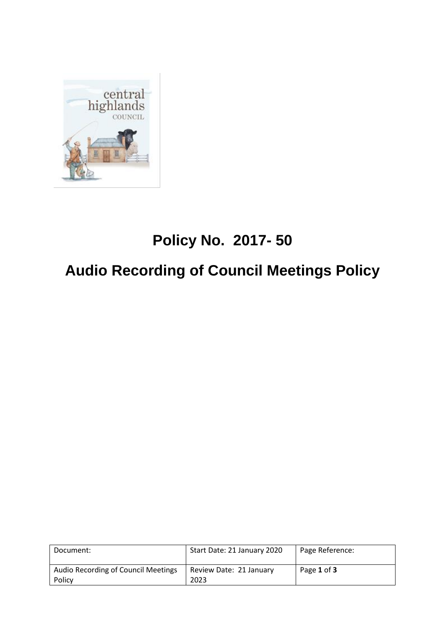

# **Policy No. 2017- 50**

# **Audio Recording of Council Meetings Policy**

| Document:                                     | Start Date: 21 January 2020     | Page Reference: |
|-----------------------------------------------|---------------------------------|-----------------|
| Audio Recording of Council Meetings<br>Policy | Review Date: 21 January<br>2023 | Page 1 of 3     |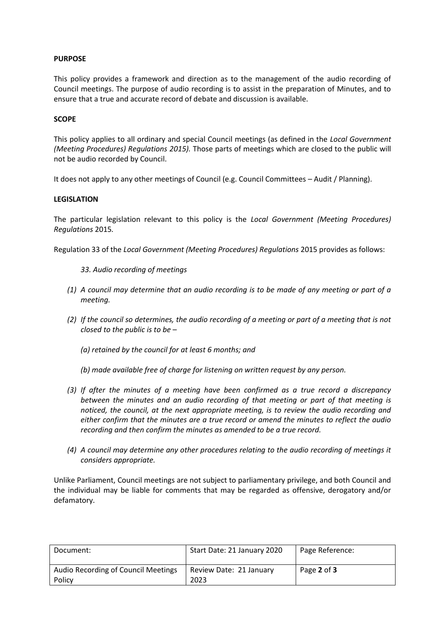## **PURPOSE**

This policy provides a framework and direction as to the management of the audio recording of Council meetings. The purpose of audio recording is to assist in the preparation of Minutes, and to ensure that a true and accurate record of debate and discussion is available.

#### **SCOPE**

This policy applies to all ordinary and special Council meetings (as defined in the *Local Government (Meeting Procedures) Regulations 2015).* Those parts of meetings which are closed to the public will not be audio recorded by Council.

It does not apply to any other meetings of Council (e.g. Council Committees – Audit / Planning).

#### **LEGISLATION**

The particular legislation relevant to this policy is the *Local Government (Meeting Procedures) Regulations* 2015*.* 

Regulation 33 of the *Local Government (Meeting Procedures) Regulations* 2015 provides as follows:

- *33. Audio recording of meetings*
- *(1) A council may determine that an audio recording is to be made of any meeting or part of a meeting.*
- *(2) If the council so determines, the audio recording of a meeting or part of a meeting that is not closed to the public is to be –*
	- *(a) retained by the council for at least 6 months; and*
	- *(b) made available free of charge for listening on written request by any person.*
- *(3) If after the minutes of a meeting have been confirmed as a true record a discrepancy between the minutes and an audio recording of that meeting or part of that meeting is noticed, the council, at the next appropriate meeting, is to review the audio recording and either confirm that the minutes are a true record or amend the minutes to reflect the audio recording and then confirm the minutes as amended to be a true record.*
- *(4) A council may determine any other procedures relating to the audio recording of meetings it considers appropriate.*

Unlike Parliament, Council meetings are not subject to parliamentary privilege, and both Council and the individual may be liable for comments that may be regarded as offensive, derogatory and/or defamatory.

| Document:                                     | Start Date: 21 January 2020     | Page Reference: |
|-----------------------------------------------|---------------------------------|-----------------|
| Audio Recording of Council Meetings<br>Policy | Review Date: 21 January<br>2023 | Page 2 of 3     |